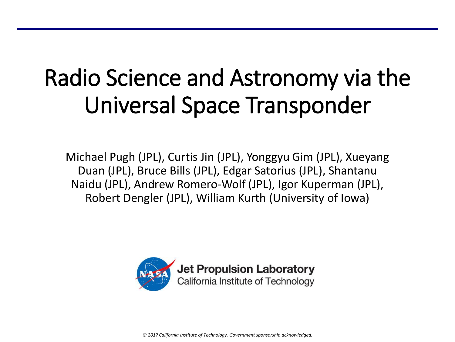## Radio Science and Astronomy via the Universal Space Transponder

Michael Pugh (JPL), Curtis Jin (JPL), Yonggyu Gim (JPL), Xueyang Duan (JPL), Bruce Bills (JPL), Edgar Satorius (JPL), Shantanu Naidu (JPL), Andrew Romero-Wolf (JPL), Igor Kuperman (JPL), Robert Dengler (JPL), William Kurth (University of Iowa)



*© 2017 California Institute of Technology. Government sponsorship acknowledged.*